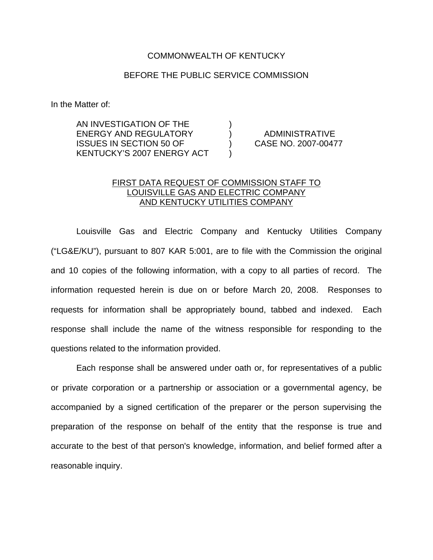## COMMONWEALTH OF KENTUCKY

## BEFORE THE PUBLIC SERVICE COMMISSION

In the Matter of:

AN INVESTIGATION OF THE ENERGY AND REGULATORY ) ADMINISTRATIVE ISSUES IN SECTION 50 OF ) CASE NO. 2007-00477 KENTUCKY'S 2007 ENERGY ACT )

## FIRST DATA REQUEST OF COMMISSION STAFF TO LOUISVILLE GAS AND ELECTRIC COMPANY AND KENTUCKY UTILITIES COMPANY

Louisville Gas and Electric Company and Kentucky Utilities Company ("LG&E/KU"), pursuant to 807 KAR 5:001, are to file with the Commission the original and 10 copies of the following information, with a copy to all parties of record. The information requested herein is due on or before March 20, 2008. Responses to requests for information shall be appropriately bound, tabbed and indexed. Each response shall include the name of the witness responsible for responding to the questions related to the information provided.

Each response shall be answered under oath or, for representatives of a public or private corporation or a partnership or association or a governmental agency, be accompanied by a signed certification of the preparer or the person supervising the preparation of the response on behalf of the entity that the response is true and accurate to the best of that person's knowledge, information, and belief formed after a reasonable inquiry.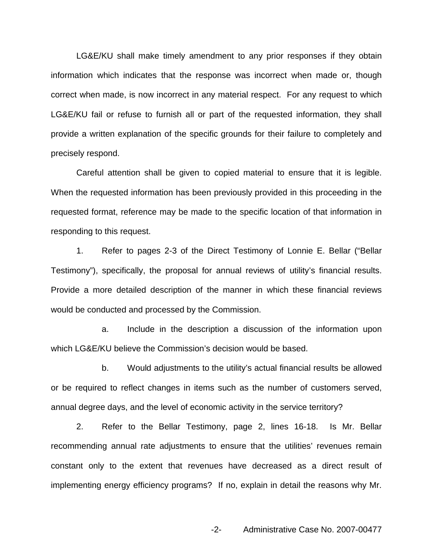LG&E/KU shall make timely amendment to any prior responses if they obtain information which indicates that the response was incorrect when made or, though correct when made, is now incorrect in any material respect. For any request to which LG&E/KU fail or refuse to furnish all or part of the requested information, they shall provide a written explanation of the specific grounds for their failure to completely and precisely respond.

Careful attention shall be given to copied material to ensure that it is legible. When the requested information has been previously provided in this proceeding in the requested format, reference may be made to the specific location of that information in responding to this request.

1. Refer to pages 2-3 of the Direct Testimony of Lonnie E. Bellar ("Bellar Testimony"), specifically, the proposal for annual reviews of utility's financial results. Provide a more detailed description of the manner in which these financial reviews would be conducted and processed by the Commission.

a. Include in the description a discussion of the information upon which LG&E/KU believe the Commission's decision would be based.

b. Would adjustments to the utility's actual financial results be allowed or be required to reflect changes in items such as the number of customers served, annual degree days, and the level of economic activity in the service territory?

2. Refer to the Bellar Testimony, page 2, lines 16-18. Is Mr. Bellar recommending annual rate adjustments to ensure that the utilities' revenues remain constant only to the extent that revenues have decreased as a direct result of implementing energy efficiency programs? If no, explain in detail the reasons why Mr.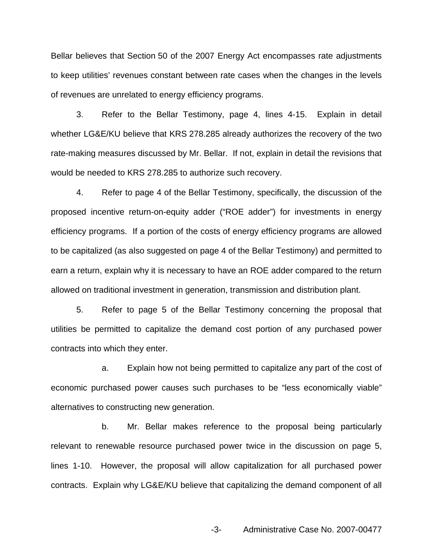Bellar believes that Section 50 of the 2007 Energy Act encompasses rate adjustments to keep utilities' revenues constant between rate cases when the changes in the levels of revenues are unrelated to energy efficiency programs.

3. Refer to the Bellar Testimony, page 4, lines 4-15. Explain in detail whether LG&E/KU believe that KRS 278.285 already authorizes the recovery of the two rate-making measures discussed by Mr. Bellar. If not, explain in detail the revisions that would be needed to KRS 278.285 to authorize such recovery.

4. Refer to page 4 of the Bellar Testimony, specifically, the discussion of the proposed incentive return-on-equity adder ("ROE adder") for investments in energy efficiency programs. If a portion of the costs of energy efficiency programs are allowed to be capitalized (as also suggested on page 4 of the Bellar Testimony) and permitted to earn a return, explain why it is necessary to have an ROE adder compared to the return allowed on traditional investment in generation, transmission and distribution plant.

5. Refer to page 5 of the Bellar Testimony concerning the proposal that utilities be permitted to capitalize the demand cost portion of any purchased power contracts into which they enter.

a. Explain how not being permitted to capitalize any part of the cost of economic purchased power causes such purchases to be "less economically viable" alternatives to constructing new generation.

b. Mr. Bellar makes reference to the proposal being particularly relevant to renewable resource purchased power twice in the discussion on page 5, lines 1-10. However, the proposal will allow capitalization for all purchased power contracts. Explain why LG&E/KU believe that capitalizing the demand component of all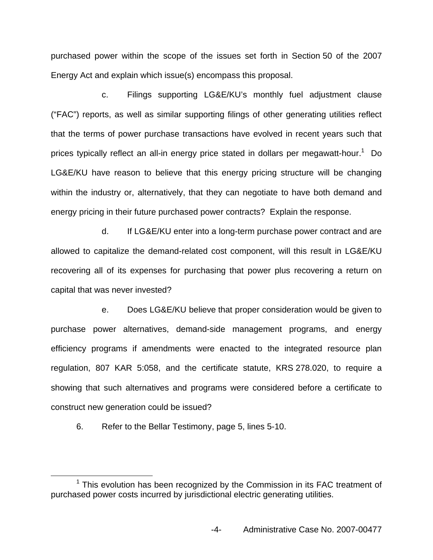purchased power within the scope of the issues set forth in Section 50 of the 2007 Energy Act and explain which issue(s) encompass this proposal.

c. Filings supporting LG&E/KU's monthly fuel adjustment clause ("FAC") reports, as well as similar supporting filings of other generating utilities reflect that the terms of power purchase transactions have evolved in recent years such that prices typically reflect an all-in energy price stated in dollars per megawatt-hour.<sup>1</sup> Do LG&E/KU have reason to believe that this energy pricing structure will be changing within the industry or, alternatively, that they can negotiate to have both demand and energy pricing in their future purchased power contracts? Explain the response.

d. If LG&E/KU enter into a long-term purchase power contract and are allowed to capitalize the demand-related cost component, will this result in LG&E/KU recovering all of its expenses for purchasing that power plus recovering a return on capital that was never invested?

e. Does LG&E/KU believe that proper consideration would be given to purchase power alternatives, demand-side management programs, and energy efficiency programs if amendments were enacted to the integrated resource plan regulation, 807 KAR 5:058, and the certificate statute, KRS 278.020, to require a showing that such alternatives and programs were considered before a certificate to construct new generation could be issued?

6. Refer to the Bellar Testimony, page 5, lines 5-10.

 $1$  This evolution has been recognized by the Commission in its FAC treatment of purchased power costs incurred by jurisdictional electric generating utilities.